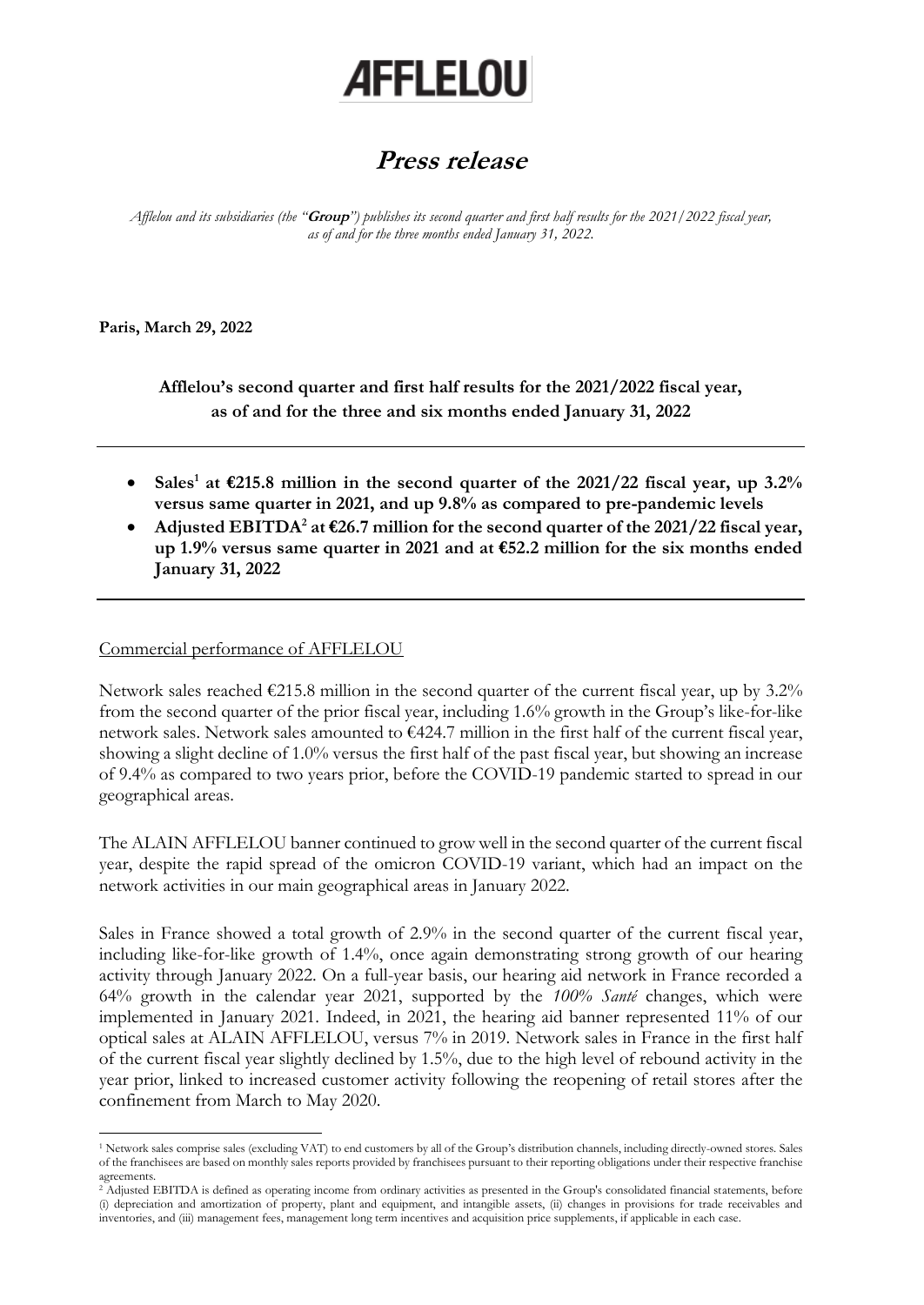# **AFFLELOU**

# **Press release**

*Afflelou and its subsidiaries (the "***Group***") publishes its second quarter and first half results for the 2021/2022 fiscal year, as of and for the three months ended January 31, 2022.*

**Paris, March 29, 2022**

**Afflelou's second quarter and first half results for the 2021/2022 fiscal year, as of and for the three and six months ended January 31, 2022**

- **Sales<sup>1</sup> at €215.8 million in the second quarter of the 2021/22 fiscal year, up 3.2% versus same quarter in 2021, and up 9.8% as compared to pre-pandemic levels**
- **Adjusted EBITDA<sup>2</sup> at €26.7 million for the second quarter of the 2021/22 fiscal year, up 1.9% versus same quarter in 2021 and at €52.2 million for the six months ended January 31, 2022**

## Commercial performance of AFFLELOU

Network sales reached  $\epsilon$ 215.8 million in the second quarter of the current fiscal year, up by 3.2% from the second quarter of the prior fiscal year, including 1.6% growth in the Group's like-for-like network sales. Network sales amounted to €424.7 million in the first half of the current fiscal year, showing a slight decline of 1.0% versus the first half of the past fiscal year, but showing an increase of 9.4% as compared to two years prior, before the COVID-19 pandemic started to spread in our geographical areas.

The ALAIN AFFLELOU banner continued to grow well in the second quarter of the current fiscal year, despite the rapid spread of the omicron COVID-19 variant, which had an impact on the network activities in our main geographical areas in January 2022.

Sales in France showed a total growth of 2.9% in the second quarter of the current fiscal year, including like-for-like growth of 1.4%, once again demonstrating strong growth of our hearing activity through January 2022. On a full-year basis, our hearing aid network in France recorded a 64% growth in the calendar year 2021, supported by the *100% Santé* changes, which were implemented in January 2021. Indeed, in 2021, the hearing aid banner represented 11% of our optical sales at ALAIN AFFLELOU, versus 7% in 2019. Network sales in France in the first half of the current fiscal year slightly declined by 1.5%, due to the high level of rebound activity in the year prior, linked to increased customer activity following the reopening of retail stores after the confinement from March to May 2020.

<sup>1</sup> Network sales comprise sales (excluding VAT) to end customers by all of the Group's distribution channels, including directly-owned stores. Sales of the franchisees are based on monthly sales reports provided by franchisees pursuant to their reporting obligations under their respective franchise agreements.

<sup>2</sup> Adjusted EBITDA is defined as operating income from ordinary activities as presented in the Group's consolidated financial statements, before (i) depreciation and amortization of property, plant and equipment, and intangible assets, (ii) changes in provisions for trade receivables and inventories, and (iii) management fees, management long term incentives and acquisition price supplements, if applicable in each case.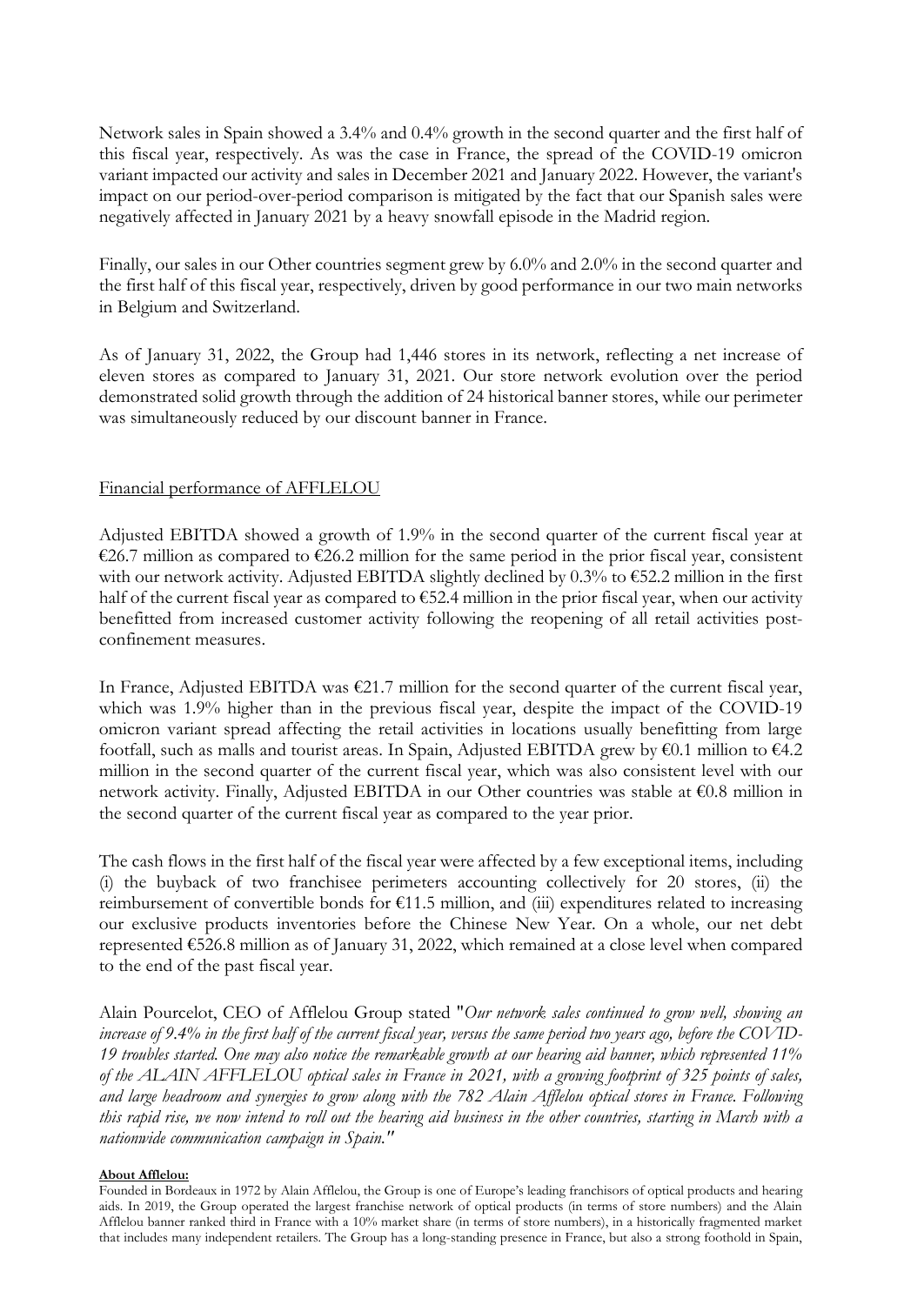Network sales in Spain showed a 3.4% and 0.4% growth in the second quarter and the first half of this fiscal year, respectively. As was the case in France, the spread of the COVID-19 omicron variant impacted our activity and sales in December 2021 and January 2022. However, the variant's impact on our period-over-period comparison is mitigated by the fact that our Spanish sales were negatively affected in January 2021 by a heavy snowfall episode in the Madrid region.

Finally, our sales in our Other countries segment grew by 6.0% and 2.0% in the second quarter and the first half of this fiscal year, respectively, driven by good performance in our two main networks in Belgium and Switzerland.

As of January 31, 2022, the Group had 1,446 stores in its network, reflecting a net increase of eleven stores as compared to January 31, 2021. Our store network evolution over the period demonstrated solid growth through the addition of 24 historical banner stores, while our perimeter was simultaneously reduced by our discount banner in France.

### Financial performance of AFFLELOU

Adjusted EBITDA showed a growth of 1.9% in the second quarter of the current fiscal year at €26.7 million as compared to €26.2 million for the same period in the prior fiscal year, consistent with our network activity. Adjusted EBITDA slightly declined by 0.3% to €52.2 million in the first half of the current fiscal year as compared to €52.4 million in the prior fiscal year, when our activity benefitted from increased customer activity following the reopening of all retail activities postconfinement measures.

In France, Adjusted EBITDA was €21.7 million for the second quarter of the current fiscal year, which was 1.9% higher than in the previous fiscal year, despite the impact of the COVID-19 omicron variant spread affecting the retail activities in locations usually benefitting from large footfall, such as malls and tourist areas. In Spain, Adjusted EBITDA grew by €0.1 million to €4.2 million in the second quarter of the current fiscal year, which was also consistent level with our network activity. Finally, Adjusted EBITDA in our Other countries was stable at €0.8 million in the second quarter of the current fiscal year as compared to the year prior.

The cash flows in the first half of the fiscal year were affected by a few exceptional items, including (i) the buyback of two franchisee perimeters accounting collectively for 20 stores, (ii) the reimbursement of convertible bonds for €11.5 million, and (iii) expenditures related to increasing our exclusive products inventories before the Chinese New Year. On a whole, our net debt represented €526.8 million as of January 31, 2022, which remained at a close level when compared to the end of the past fiscal year.

Alain Pourcelot, CEO of Afflelou Group stated "*Our network sales continued to grow well, showing an increase of 9.4% in the first half of the current fiscal year, versus the same period two years ago, before the COVID-19 troubles started. One may also notice the remarkable growth at our hearing aid banner, which represented 11% of the ALAIN AFFLELOU optical sales in France in 2021, with a growing footprint of 325 points of sales, and large headroom and synergies to grow along with the 782 Alain Afflelou optical stores in France. Following this rapid rise, we now intend to roll out the hearing aid business in the other countries, starting in March with a nationwide communication campaign in Spain."* 

#### **About Afflelou:**

Founded in Bordeaux in 1972 by Alain Afflelou, the Group is one of Europe's leading franchisors of optical products and hearing aids. In 2019, the Group operated the largest franchise network of optical products (in terms of store numbers) and the Alain Afflelou banner ranked third in France with a 10% market share (in terms of store numbers), in a historically fragmented market that includes many independent retailers. The Group has a long-standing presence in France, but also a strong foothold in Spain,